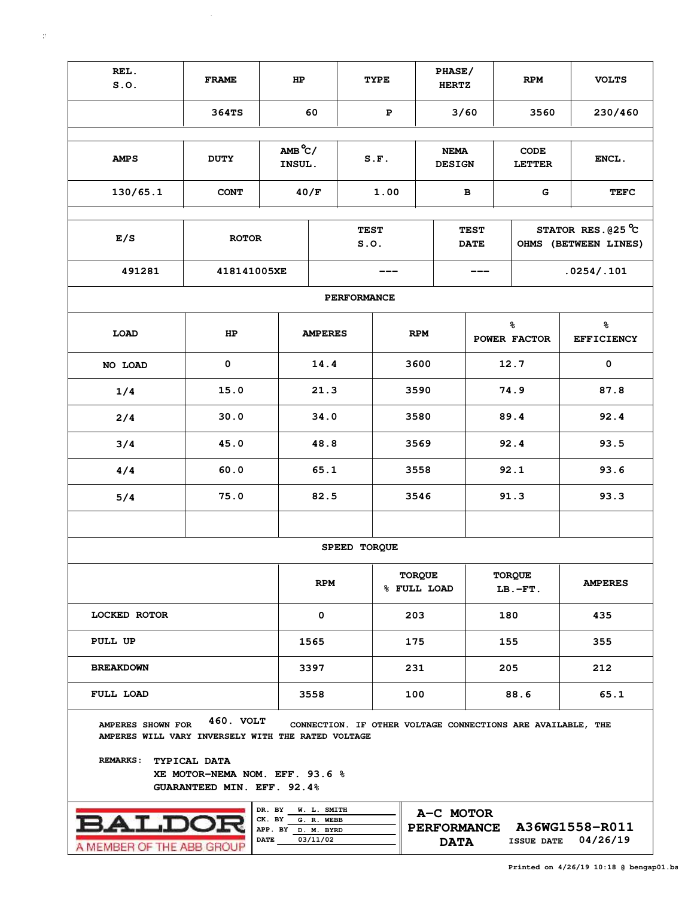| REL.<br>S.0.                                                                               | <b>FRAME</b>                                                                                     |                    | HP          |                     | <b>TYPE</b> |                                              | PHASE/<br><b>HERTZ</b>       |            |                    | <b>RPM</b>                   | <b>VOLTS</b>                                                |  |  |  |
|--------------------------------------------------------------------------------------------|--------------------------------------------------------------------------------------------------|--------------------|-------------|---------------------|-------------|----------------------------------------------|------------------------------|------------|--------------------|------------------------------|-------------------------------------------------------------|--|--|--|
|                                                                                            | 364TS                                                                                            |                    | 60          |                     | P           |                                              | 3/60                         |            |                    | 3560                         | 230/460                                                     |  |  |  |
|                                                                                            |                                                                                                  |                    |             |                     |             |                                              |                              |            |                    |                              |                                                             |  |  |  |
| <b>AMPS</b>                                                                                | <b>DUTY</b>                                                                                      |                    |             |                     | S.F.        |                                              | <b>NEMA</b><br><b>DESIGN</b> |            |                    | <b>CODE</b><br><b>LETTER</b> | ENCL.                                                       |  |  |  |
| 130/65.1                                                                                   |                                                                                                  | 40/F               |             | 1.00                |             | в                                            |                              |            | G                  | <b>TEFC</b>                  |                                                             |  |  |  |
|                                                                                            |                                                                                                  |                    |             |                     |             |                                              |                              |            |                    |                              |                                                             |  |  |  |
| E/S                                                                                        | <b>ROTOR</b>                                                                                     |                    |             | <b>TEST</b><br>S.0. |             |                                              | <b>TEST</b><br><b>DATE</b>   |            |                    |                              | STATOR RES. $025^{\circ}$ C<br>OHMS (BETWEEN LINES)         |  |  |  |
| 491281                                                                                     | 418141005XE                                                                                      |                    |             |                     |             |                                              |                              | .0254/.101 |                    |                              |                                                             |  |  |  |
|                                                                                            |                                                                                                  |                    |             | <b>PERFORMANCE</b>  |             |                                              |                              |            |                    |                              |                                                             |  |  |  |
| <b>LOAD</b>                                                                                |                                                                                                  | <b>AMPERES</b>     |             |                     | <b>RPM</b>  |                                              |                              |            | နွ<br>POWER FACTOR | နွ<br><b>EFFICIENCY</b>      |                                                             |  |  |  |
| NO LOAD                                                                                    | $\mathbf 0$                                                                                      |                    | 14.4        |                     | 3600        |                                              |                              |            |                    | 12.7                         | $\pmb{0}$                                                   |  |  |  |
| 1/4                                                                                        | 15.0                                                                                             |                    | 21.3        |                     | 3590        |                                              |                              |            | 74.9               | 87.8                         |                                                             |  |  |  |
| 2/4                                                                                        |                                                                                                  | 34.0               |             |                     | 3580        |                                              |                              |            | 89.4               | 92.4                         |                                                             |  |  |  |
| 3/4                                                                                        |                                                                                                  | 48.8               |             |                     | 3569        |                                              |                              |            | 92.4               | 93.5                         |                                                             |  |  |  |
| 4/4                                                                                        |                                                                                                  | 65.1               |             |                     | 3558        |                                              |                              |            | 92.1               | 93.6                         |                                                             |  |  |  |
| 5/4                                                                                        |                                                                                                  | 82.5               |             |                     | 3546        |                                              |                              |            | 91.3               | 93.3                         |                                                             |  |  |  |
|                                                                                            |                                                                                                  |                    |             |                     |             |                                              |                              |            |                    |                              |                                                             |  |  |  |
|                                                                                            |                                                                                                  |                    |             | SPEED TORQUE        |             |                                              |                              |            |                    |                              |                                                             |  |  |  |
|                                                                                            |                                                                                                  |                    | <b>RPM</b>  |                     |             | <b>TORQUE</b><br>% FULL LOAD                 |                              |            |                    | <b>TORQUE</b><br>$LB.-FT.$   | <b>AMPERES</b>                                              |  |  |  |
| <b>LOCKED ROTOR</b>                                                                        |                                                                                                  |                    | 0           |                     |             | 203                                          |                              |            | 180                |                              | 435                                                         |  |  |  |
| PULL UP                                                                                    |                                                                                                  |                    | 1565        |                     |             | 175                                          |                              |            |                    | 155                          | 355                                                         |  |  |  |
| <b>BREAKDOWN</b>                                                                           |                                                                                                  |                    | 3397        |                     |             | 231                                          |                              | 205        |                    |                              | 212                                                         |  |  |  |
| FULL LOAD                                                                                  |                                                                                                  |                    | 3558        |                     |             | 100                                          |                              |            |                    | 88.6                         | 65.1                                                        |  |  |  |
| AMPERES SHOWN FOR<br>AMPERES WILL VARY INVERSELY WITH THE RATED VOLTAGE<br><b>REMARKS:</b> | 460. VOLT<br>TYPICAL DATA<br>XE MOTOR-NEMA NOM. EFF. 93.6 %<br><b>GUARANTEED MIN. EFF. 92.4%</b> |                    |             |                     |             |                                              |                              |            |                    |                              | CONNECTION. IF OTHER VOLTAGE CONNECTIONS ARE AVAILABLE, THE |  |  |  |
|                                                                                            |                                                                                                  | DR. BY             | W. L. SMITH |                     |             |                                              |                              |            |                    |                              |                                                             |  |  |  |
| T.DO                                                                                       |                                                                                                  | CK. BY             | G. R. WEBB  |                     |             |                                              |                              | A-C MOTOR  |                    |                              |                                                             |  |  |  |
|                                                                                            |                                                                                                  | APP. BY D. M. BYRD |             |                     |             |                                              | <b>PERFORMANCE</b>           |            |                    |                              | A36WG1558-R011                                              |  |  |  |
| A MEMBER OF THE ABB GROU                                                                   |                                                                                                  | <b>DATE</b>        | 03/11/02    |                     |             | 04/26/19<br><b>ISSUE DATE</b><br><b>DATA</b> |                              |            |                    |                              |                                                             |  |  |  |

A MEMBER OF THE ABB GROUP

 $\mathcal{L}^{\mathcal{L}}$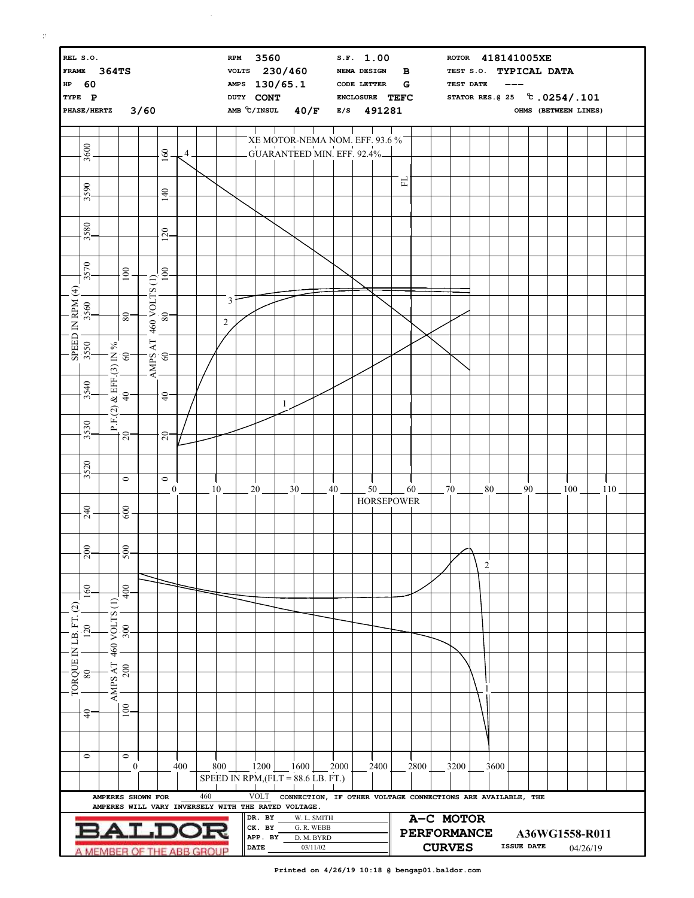| REL S.O.<br>FRAME 364TS<br>HP 60<br>TYPE P<br>PHASE/HERTZ 3/60                         |                                 |                                                                          |                                                                                                                                            |               |                                                                                       |     |     |                                      | 3560<br><b>RPM</b><br>VOLTS 230/460<br>AMPS 130/65.1<br>DUTY CONT<br>AMB C/INSUL 40/F E/S 491281 |                                                                  |   |                 |             |                                                             | S.F. 1.00<br>NEMA DESIGN<br>$\, {\bf B}$<br>$\mathbf G$<br><b>CODE LETTER</b><br>ENCLOSURE TEFC |      |                                 |      |  | ROTOR 418141005XE<br>TEST S.O. TYPICAL DATA<br>TEST DATE<br>OHMS (BETWEEN LINES) |                |      |  |    |  |     |  |     |  |
|----------------------------------------------------------------------------------------|---------------------------------|--------------------------------------------------------------------------|--------------------------------------------------------------------------------------------------------------------------------------------|---------------|---------------------------------------------------------------------------------------|-----|-----|--------------------------------------|--------------------------------------------------------------------------------------------------|------------------------------------------------------------------|---|-----------------|-------------|-------------------------------------------------------------|-------------------------------------------------------------------------------------------------|------|---------------------------------|------|--|----------------------------------------------------------------------------------|----------------|------|--|----|--|-----|--|-----|--|
|                                                                                        |                                 |                                                                          |                                                                                                                                            |               |                                                                                       |     |     |                                      |                                                                                                  |                                                                  |   |                 |             | XE MOTOR-NEMA NOM. EFF. 93.6 %                              |                                                                                                 |      |                                 |      |  |                                                                                  |                |      |  |    |  |     |  |     |  |
|                                                                                        | 3600                            |                                                                          |                                                                                                                                            |               | 160                                                                                   | 4   |     |                                      |                                                                                                  |                                                                  |   |                 |             | GUARANTEED MIN. EFF. 92.4%                                  |                                                                                                 |      |                                 |      |  |                                                                                  |                |      |  |    |  |     |  |     |  |
|                                                                                        |                                 |                                                                          |                                                                                                                                            |               |                                                                                       |     |     |                                      |                                                                                                  |                                                                  |   |                 |             |                                                             |                                                                                                 |      | 됴                               |      |  |                                                                                  |                |      |  |    |  |     |  |     |  |
|                                                                                        | 3590                            |                                                                          |                                                                                                                                            |               | 140                                                                                   |     |     |                                      |                                                                                                  |                                                                  |   |                 |             |                                                             |                                                                                                 |      |                                 |      |  |                                                                                  |                |      |  |    |  |     |  |     |  |
|                                                                                        | 3580                            |                                                                          |                                                                                                                                            |               | 120                                                                                   |     |     |                                      |                                                                                                  |                                                                  |   |                 |             |                                                             |                                                                                                 |      |                                 |      |  |                                                                                  |                |      |  |    |  |     |  |     |  |
|                                                                                        |                                 |                                                                          |                                                                                                                                            |               |                                                                                       |     |     |                                      |                                                                                                  |                                                                  |   |                 |             |                                                             |                                                                                                 |      |                                 |      |  |                                                                                  |                |      |  |    |  |     |  |     |  |
|                                                                                        | 3570                            |                                                                          | 100                                                                                                                                        |               | 100                                                                                   |     |     |                                      |                                                                                                  |                                                                  |   |                 |             |                                                             |                                                                                                 |      |                                 |      |  |                                                                                  |                |      |  |    |  |     |  |     |  |
|                                                                                        | SPEED IN RPM (4)<br>3550   3560 |                                                                          |                                                                                                                                            | 460 VOLTS (1) |                                                                                       |     |     | 3                                    |                                                                                                  |                                                                  |   |                 |             |                                                             |                                                                                                 |      |                                 |      |  |                                                                                  |                |      |  |    |  |     |  |     |  |
|                                                                                        |                                 |                                                                          | 80                                                                                                                                         |               | $80 -$                                                                                |     |     | $\overline{2}$                       |                                                                                                  |                                                                  |   |                 |             |                                                             |                                                                                                 |      |                                 |      |  |                                                                                  |                |      |  |    |  |     |  |     |  |
|                                                                                        |                                 | $\%$                                                                     |                                                                                                                                            |               | ${\rm AMPS~AT} \atop \hline \phantom{\rm A}{\rm MPS~AT} \atop \phantom{\rm A}{\rm O}$ |     |     |                                      |                                                                                                  |                                                                  |   |                 |             |                                                             |                                                                                                 |      |                                 |      |  |                                                                                  |                |      |  |    |  |     |  |     |  |
|                                                                                        |                                 |                                                                          | P.F.(2) & EFF.(3) IN<br>$\begin{bmatrix} 40 \\ 40 \end{bmatrix}$ 60                                                                        |               |                                                                                       |     |     |                                      |                                                                                                  |                                                                  |   |                 |             |                                                             |                                                                                                 |      |                                 |      |  |                                                                                  |                |      |  |    |  |     |  |     |  |
|                                                                                        | 3540                            |                                                                          |                                                                                                                                            |               | $\overline{4}$                                                                        |     |     |                                      |                                                                                                  |                                                                  |   |                 |             |                                                             |                                                                                                 |      |                                 |      |  |                                                                                  |                |      |  |    |  |     |  |     |  |
|                                                                                        |                                 |                                                                          |                                                                                                                                            |               |                                                                                       |     |     |                                      |                                                                                                  |                                                                  | 1 |                 |             |                                                             |                                                                                                 |      |                                 |      |  |                                                                                  |                |      |  |    |  |     |  |     |  |
|                                                                                        | 3530                            |                                                                          | $\overline{20}$                                                                                                                            |               | $20 -$                                                                                |     |     |                                      |                                                                                                  |                                                                  |   |                 |             |                                                             |                                                                                                 |      |                                 |      |  |                                                                                  |                |      |  |    |  |     |  |     |  |
|                                                                                        |                                 |                                                                          |                                                                                                                                            |               |                                                                                       |     |     |                                      |                                                                                                  |                                                                  |   |                 |             |                                                             |                                                                                                 |      |                                 |      |  |                                                                                  |                |      |  |    |  |     |  |     |  |
|                                                                                        | 3520                            |                                                                          | $\circ$                                                                                                                                    |               | $\circ$                                                                               |     |     | 10                                   |                                                                                                  | 20                                                               |   |                 |             |                                                             |                                                                                                 | 50   |                                 |      |  |                                                                                  |                |      |  |    |  |     |  |     |  |
|                                                                                        |                                 |                                                                          |                                                                                                                                            |               | $\boldsymbol{0}$                                                                      |     |     |                                      |                                                                                                  |                                                                  |   | 30 <sub>2</sub> |             | 40                                                          |                                                                                                 |      | <b>HORSEPOWER</b>               | 60   |  | 70                                                                               |                | 80   |  | 90 |  | 100 |  | 110 |  |
|                                                                                        | 240                             |                                                                          | $600\,$                                                                                                                                    |               |                                                                                       |     |     |                                      |                                                                                                  |                                                                  |   |                 |             |                                                             |                                                                                                 |      |                                 |      |  |                                                                                  |                |      |  |    |  |     |  |     |  |
|                                                                                        | $\infty$                        |                                                                          | 500                                                                                                                                        |               |                                                                                       |     |     |                                      |                                                                                                  |                                                                  |   |                 |             |                                                             |                                                                                                 |      |                                 |      |  |                                                                                  |                |      |  |    |  |     |  |     |  |
|                                                                                        | $\bar{\circ}$                   |                                                                          |                                                                                                                                            |               |                                                                                       |     |     |                                      |                                                                                                  |                                                                  |   |                 |             |                                                             |                                                                                                 |      |                                 |      |  |                                                                                  | $\overline{2}$ |      |  |    |  |     |  |     |  |
|                                                                                        | 160                             |                                                                          | ¦Ş                                                                                                                                         |               |                                                                                       |     |     |                                      |                                                                                                  |                                                                  |   |                 |             |                                                             |                                                                                                 |      |                                 |      |  |                                                                                  |                |      |  |    |  |     |  |     |  |
| $\odot$                                                                                |                                 | $\ominus$                                                                |                                                                                                                                            |               |                                                                                       |     |     |                                      |                                                                                                  |                                                                  |   |                 |             |                                                             |                                                                                                 |      |                                 |      |  |                                                                                  |                |      |  |    |  |     |  |     |  |
|                                                                                        | 120                             | 460 VOLTS                                                                | $\frac{300}{500}$                                                                                                                          |               |                                                                                       |     |     |                                      |                                                                                                  |                                                                  |   |                 |             |                                                             |                                                                                                 |      |                                 |      |  |                                                                                  |                |      |  |    |  |     |  |     |  |
|                                                                                        |                                 |                                                                          |                                                                                                                                            |               |                                                                                       |     |     |                                      |                                                                                                  |                                                                  |   |                 |             |                                                             |                                                                                                 |      |                                 |      |  |                                                                                  |                |      |  |    |  |     |  |     |  |
| TORQUE IN LB. FT.                                                                      | 80                              |                                                                          | $\begin{array}{c} \mathbf{A}\mathbf{M}\mathbf{P}\mathbf{S}\;\mathbf{A}\mathbf{T} \\ \mathbf{I}\mathbf{A}\text{ } \mathbf{200} \end{array}$ |               |                                                                                       |     |     |                                      |                                                                                                  |                                                                  |   |                 |             |                                                             |                                                                                                 |      |                                 |      |  |                                                                                  |                |      |  |    |  |     |  |     |  |
|                                                                                        |                                 |                                                                          | $\overline{100}$                                                                                                                           |               |                                                                                       |     |     |                                      |                                                                                                  |                                                                  |   |                 |             |                                                             |                                                                                                 |      |                                 |      |  |                                                                                  |                |      |  |    |  |     |  |     |  |
|                                                                                        | $\frac{1}{4}$                   |                                                                          |                                                                                                                                            |               |                                                                                       |     |     |                                      |                                                                                                  |                                                                  |   |                 |             |                                                             |                                                                                                 |      |                                 |      |  |                                                                                  |                |      |  |    |  |     |  |     |  |
|                                                                                        |                                 |                                                                          |                                                                                                                                            |               |                                                                                       |     |     |                                      |                                                                                                  |                                                                  |   |                 |             |                                                             |                                                                                                 |      |                                 |      |  |                                                                                  |                |      |  |    |  |     |  |     |  |
|                                                                                        | $\circ$                         |                                                                          | $\circ$<br>$\boldsymbol{0}$                                                                                                                |               |                                                                                       | 400 |     | 800                                  |                                                                                                  | $-1200$ $-1600$                                                  |   |                 |             | $2000\,$                                                    |                                                                                                 | 2400 |                                 | 2800 |  | 3200                                                                             |                | 3600 |  |    |  |     |  |     |  |
|                                                                                        |                                 |                                                                          |                                                                                                                                            |               |                                                                                       |     |     | SPEED IN RPM, $(FLT = 88.6 LB. FT.)$ |                                                                                                  |                                                                  |   |                 |             |                                                             |                                                                                                 |      |                                 |      |  |                                                                                  |                |      |  |    |  |     |  |     |  |
|                                                                                        |                                 | AMPERES SHOWN FOR<br>AMPERES WILL VARY INVERSELY WITH THE RATED VOLTAGE. |                                                                                                                                            |               |                                                                                       |     | 460 |                                      |                                                                                                  | VOLT                                                             |   |                 |             | CONNECTION, IF OTHER VOLTAGE CONNECTIONS ARE AVAILABLE, THE |                                                                                                 |      |                                 |      |  |                                                                                  |                |      |  |    |  |     |  |     |  |
|                                                                                        |                                 |                                                                          |                                                                                                                                            |               |                                                                                       |     |     |                                      |                                                                                                  | DR. BY<br>CK. BY                                                 |   | G. R. WEBB      | W. L. SMITH |                                                             |                                                                                                 |      | A-C MOTOR<br><b>PERFORMANCE</b> |      |  |                                                                                  |                |      |  |    |  |     |  |     |  |
| ALDOR<br>APP. BY<br>D. M. BYRD<br><b>DATE</b><br>03/11/02<br>A MEMBER OF THE ABB GROUP |                                 |                                                                          |                                                                                                                                            |               |                                                                                       |     |     |                                      |                                                                                                  | A36WG1558-R011<br><b>ISSUE DATE</b><br><b>CURVES</b><br>04/26/19 |   |                 |             |                                                             |                                                                                                 |      |                                 |      |  |                                                                                  |                |      |  |    |  |     |  |     |  |

**Printed on 4/26/19 10:18 @ bengap01.baldor.com**

 $\mathcal{L}^{\mathcal{L}}$